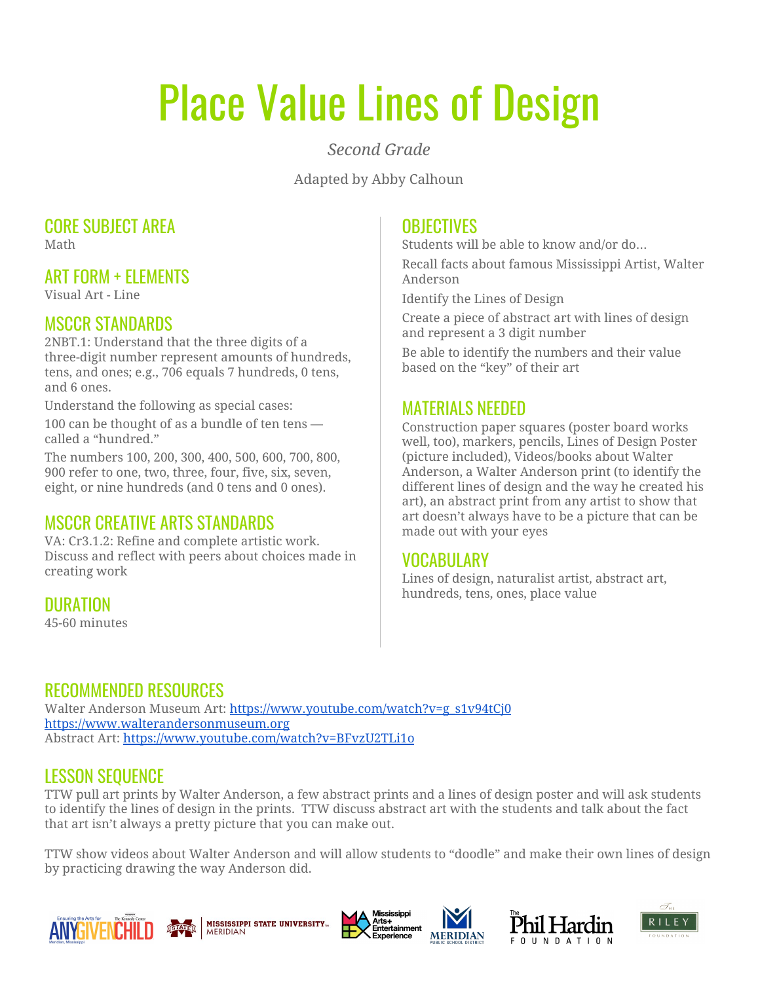# Place Value Lines of Design

#### *Second Grade*

Adapted by Abby Calhoun

# CORE SUBJECT AREA

Math

## ART FORM + ELEMENTS

Visual Art - Line

#### MSCCR STANDARDS

2NBT.1: Understand that the three digits of a three-digit number represent amounts of hundreds, tens, and ones; e.g., 706 equals 7 hundreds, 0 tens, and 6 ones.

Understand the following as special cases:

100 can be thought of as a bundle of ten tens called a "hundred."

The numbers 100, 200, 300, 400, 500, 600, 700, 800, 900 refer to one, two, three, four, five, six, seven, eight, or nine hundreds (and 0 tens and 0 ones).

# MSCCR CREATIVE ARTS STANDARDS

VA: Cr3.1.2: Refine and complete artistic work. Discuss and reflect with peers about choices made in creating work

DURATION

45-60 minutes

#### **OBJECTIVES**

Students will be able to know and/or do…

Recall facts about famous Mississippi Artist, Walter Anderson

Identify the Lines of Design

Create a piece of abstract art with lines of design and represent a 3 digit number

Be able to identify the numbers and their value based on the "key" of their art

## MATERIALS NEEDED

Construction paper squares (poster board works well, too), markers, pencils, Lines of Design Poster (picture included), Videos/books about Walter Anderson, a Walter Anderson print (to identify the different lines of design and the way he created his art), an abstract print from any artist to show that art doesn't always have to be a picture that can be made out with your eyes

#### VOCABULARY

Lines of design, naturalist artist, abstract art, hundreds, tens, ones, place value

# RECOMMENDED RESOURCES

Walter Anderson Museum Art: [https://www.youtube.com/watch?v=g\\_s1v94tCj0](https://www.youtube.com/watch?v=g_s1v94tCj0) [https://www.walterandersonmuseum.org](https://www.walterandersonmuseum.org/) Abstract Art: <https://www.youtube.com/watch?v=BFvzU2TLi1o>

#### LESSON SEQUENCE

TTW pull art prints by Walter Anderson, a few abstract prints and a lines of design poster and will ask students to identify the lines of design in the prints. TTW discuss abstract art with the students and talk about the fact that art isn't always a pretty picture that you can make out.

TTW show videos about Walter Anderson and will allow students to "doodle" and make their own lines of design by practicing drawing the way Anderson did.